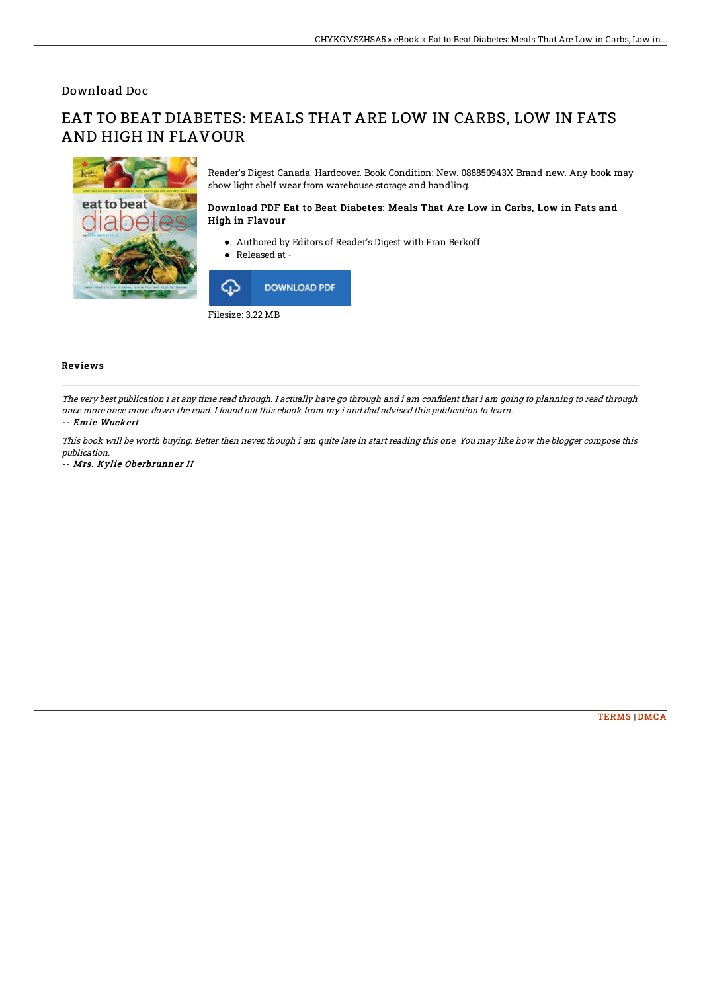## Download Doc

# EAT TO BEAT DIABETES: MEALS THAT ARE LOW IN CARBS, LOW IN FATS AND HIGH IN FLAVOUR



Reader's Digest Canada. Hardcover. Book Condition: New. 088850943X Brand new. Any book may show light shelf wear from warehouse storage and handling.

### Download PDF Eat to Beat Diabetes: Meals That Are Low in Carbs, Low in Fats and High in Flavour

- Authored by Editors of Reader's Digest with Fran Berkoff
- Released at -



Filesize: 3.22 MB

### Reviews

The very best publication i at any time read through. I actually have go through and i am confident that i am going to planning to read through once more once more down the road. I found out this ebook from my i and dad advised this publication to learn. -- Emie Wuckert

This book will be worth buying. Better then never, though i am quite late in start reading this one. You may like how the blogger compose this publication.

-- Mrs. Kylie Oberbrunner II